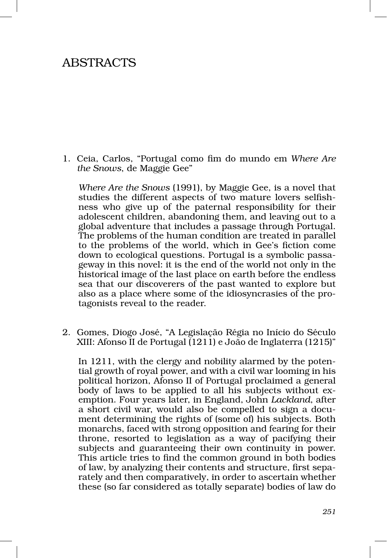## ABSTRACTS

1. Ceia, Carlos, "Portugal como fim do mundo em *Where Are the Snows*, de Maggie Gee"

*Where Are the Snows* (1991), by Maggie Gee, is a novel that studies the different aspects of two mature lovers selfishness who give up of the paternal responsibility for their adolescent children, abandoning them, and leaving out to a global adventure that includes a passage through Portugal. The problems of the human condition are treated in parallel to the problems of the world, which in Gee's fiction come down to ecological questions. Portugal is a symbolic passageway in this novel: it is the end of the world not only in the historical image of the last place on earth before the endless sea that our discoverers of the past wanted to explore but also as a place where some of the idiosyncrasies of the protagonists reveal to the reader.

2. Gomes, Diogo José, "A Legislação Régia no Início do Século XIII: Afonso II de Portugal (1211) e João de Inglaterra (1215)"

In 1211, with the clergy and nobility alarmed by the potential growth of royal power, and with a civil war looming in his political horizon, Afonso II of Portugal proclaimed a general body of laws to be applied to all his subjects without exemption. Four years later, in England, John *Lackland*, after a short civil war, would also be compelled to sign a document determining the rights of (some of) his subjects. Both monarchs, faced with strong opposition and fearing for their throne, resorted to legislation as a way of pacifying their subjects and guaranteeing their own continuity in power. This article tries to find the common ground in both bodies of law, by analyzing their contents and structure, first separately and then comparatively, in order to ascertain whether these (so far considered as totally separate) bodies of law do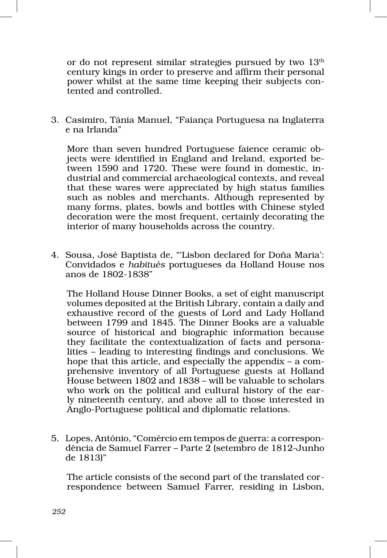or do not represent similar strategies pursued by two  $13<sup>th</sup>$ century kings in order to preserve and affirm their personal power whilst at the same time keeping their subjects contented and controlled.

3. Casimiro, Tânia Manuel, "Faiança Portuguesa na Inglaterra e na Irlanda"

More than seven hundred Portuguese faience ceramic objects were identified in England and Ireland, exported be‑ tween 1590 and 1720. These were found in domestic, industrial and commercial archaeological contexts, and reveal that these wares were appreciated by high status families such as nobles and merchants. Although represented by many forms, plates, bowls and bottles with Chinese styled decoration were the most frequent, certainly decorating the interior of many households across the country.

4. Sousa, José Baptista de, "'Lisbon declared for Doña Maria': Convidados e *habitués* portugueses da Holland House nos anos de 1802‑1838"

The Holland House Dinner Books, a set of eight manuscript volumes deposited at the British Library, contain a daily and exhaustive record of the guests of Lord and Lady Holland between 1799 and 1845. The Dinner Books are a valuable source of historical and biographic information because they facilitate the contextualization of facts and personalities – leading to interesting findings and conclusions. We hope that this article, and especially the appendix  $-$  a comprehensive inventory of all Portuguese guests at Holland House between 1802 and 1838 – will be valuable to scholars who work on the political and cultural history of the early nineteenth century, and above all to those interested in Anglo‑Portuguese political and diplomatic relations.

5. Lopes, António, "Comércio em tempos de guerra: a correspon‑ dência de Samuel Farrer – Parte 2 (setembro de 1812‑Junho de 1813)"

The article consists of the second part of the translated correspondence between Samuel Farrer, residing in Lisbon,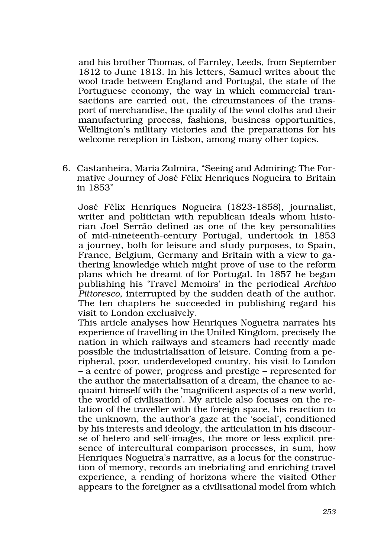and his brother Thomas, of Farnley, Leeds, from September 1812 to June 1813. In his letters, Samuel writes about the wool trade between England and Portugal, the state of the Portuguese economy, the way in which commercial transactions are carried out, the circumstances of the trans– port of merchandise, the quality of the wool cloths and their manufacturing process, fashions, business opportunities, Wellington's military victories and the preparations for his welcome reception in Lisbon, among many other topics.

6. Castanheira, Maria Zulmira, "Seeing and Admiring: The For‑ mative Journey of José Félix Henriques Nogueira to Britain in 1853"

José Félix Henriques Nogueira (1823‑1858), journalist, writer and politician with republican ideals whom historian Joel Serrão defined as one of the key personalities of mid‑nineteenth‑century Portugal, undertook in 1853 a journey, both for leisure and study purposes, to Spain, France, Belgium, Germany and Britain with a view to gathering knowledge which might prove of use to the reform plans which he dreamt of for Portugal. In 1857 he began publishing his 'Travel Memoirs' in the periodical *Archivo Pittoresco*, interrupted by the sudden death of the author. The ten chapters he succeeded in publishing regard his visit to London exclusively.

This article analyses how Henriques Nogueira narrates his experience of travelling in the United Kingdom, precisely the nation in which railways and steamers had recently made possible the industrialisation of leisure. Coming from a pe‑ ripheral, poor, underdeveloped country, his visit to London – a centre of power, progress and prestige – represented for the author the materialisation of a dream, the chance to ac‑ quaint himself with the 'magnificent aspects of a new world, the world of civilisation'. My article also focuses on the re‑ lation of the traveller with the foreign space, his reaction to the unknown, the author's gaze at the 'social', conditioned by his interests and ideology, the articulation in his discourse of hetero and self-images, the more or less explicit presence of intercultural comparison processes, in sum, how Henriques Nogueira's narrative, as a locus for the construction of memory, records an inebriating and enriching travel experience, a rending of horizons where the visited Other appears to the foreigner as a civilisational model from which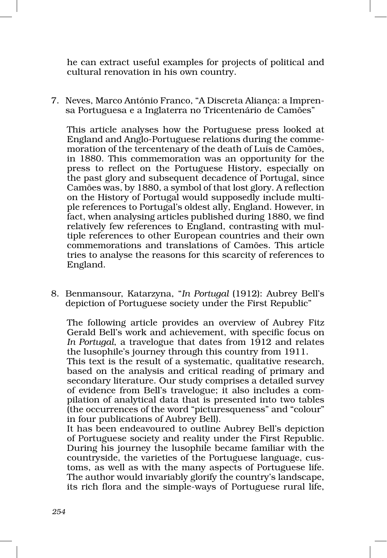he can extract useful examples for projects of political and cultural renovation in his own country.

7. Neves, Marco António Franco, "A Discreta Aliança: a Impren‑ sa Portuguesa e a Inglaterra no Tricentenário de Camões"

This article analyses how the Portuguese press looked at England and Anglo-Portuguese relations during the commemoration of the tercentenary of the death of Luís de Camões, in 1880. This commemoration was an opportunity for the press to reflect on the Portuguese History, especially on the past glory and subsequent decadence of Portugal, since Camões was, by 1880, a symbol of that lost glory. A reflection on the History of Portugal would supposedly include multiple references to Portugal's oldest ally, England. However, in fact, when analysing articles published during 1880, we find relatively few references to England, contrasting with multiple references to other European countries and their own commemorations and translations of Camões. This article tries to analyse the reasons for this scarcity of references to England.

8. Benmansour, Katarzyna, "*In Portugal* (1912): Aubrey Bell's depiction of Portuguese society under the First Republic"

The following article provides an overview of Aubrey Fitz Gerald Bell's work and achievement, with specific focus on *In Portugal*, a travelogue that dates from 1912 and relates the lusophile's journey through this country from 1911.

This text is the result of a systematic, qualitative research, based on the analysis and critical reading of primary and secondary literature. Our study comprises a detailed survey of evidence from Bell's travelogue; it also includes a com‑ pilation of analytical data that is presented into two tables (the occurrences of the word "picturesqueness" and "colour" in four publications of Aubrey Bell).

It has been endeavoured to outline Aubrey Bell's depiction of Portuguese society and reality under the First Republic. During his journey the lusophile became familiar with the countryside, the varieties of the Portuguese language, customs, as well as with the many aspects of Portuguese life. The author would invariably glorify the country's landscape, its rich flora and the simple‑ways of Portuguese rural life,